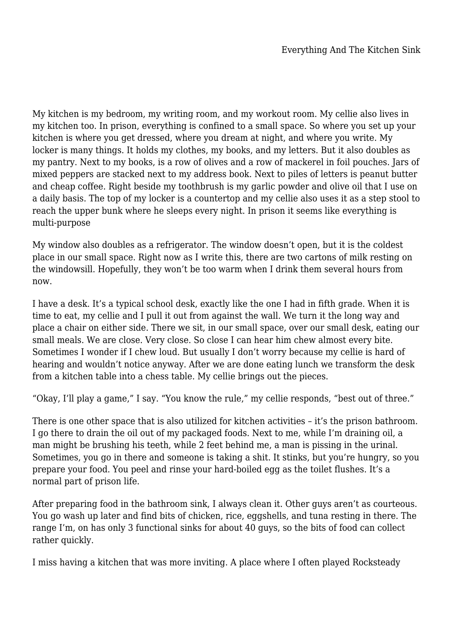My kitchen is my bedroom, my writing room, and my workout room. My cellie also lives in my kitchen too. In prison, everything is confined to a small space. So where you set up your kitchen is where you get dressed, where you dream at night, and where you write. My locker is many things. It holds my clothes, my books, and my letters. But it also doubles as my pantry. Next to my books, is a row of olives and a row of mackerel in foil pouches. Jars of mixed peppers are stacked next to my address book. Next to piles of letters is peanut butter and cheap coffee. Right beside my toothbrush is my garlic powder and olive oil that I use on a daily basis. The top of my locker is a countertop and my cellie also uses it as a step stool to reach the upper bunk where he sleeps every night. In prison it seems like everything is multi-purpose

My window also doubles as a refrigerator. The window doesn't open, but it is the coldest place in our small space. Right now as I write this, there are two cartons of milk resting on the windowsill. Hopefully, they won't be too warm when I drink them several hours from now.

I have a desk. It's a typical school desk, exactly like the one I had in fifth grade. When it is time to eat, my cellie and I pull it out from against the wall. We turn it the long way and place a chair on either side. There we sit, in our small space, over our small desk, eating our small meals. We are close. Very close. So close I can hear him chew almost every bite. Sometimes I wonder if I chew loud. But usually I don't worry because my cellie is hard of hearing and wouldn't notice anyway. After we are done eating lunch we transform the desk from a kitchen table into a chess table. My cellie brings out the pieces.

"Okay, I'll play a game," I say. "You know the rule," my cellie responds, "best out of three."

There is one other space that is also utilized for kitchen activities – it's the prison bathroom. I go there to drain the oil out of my packaged foods. Next to me, while I'm draining oil, a man might be brushing his teeth, while 2 feet behind me, a man is pissing in the urinal. Sometimes, you go in there and someone is taking a shit. It stinks, but you're hungry, so you prepare your food. You peel and rinse your hard-boiled egg as the toilet flushes. It's a normal part of prison life.

After preparing food in the bathroom sink, I always clean it. Other guys aren't as courteous. You go wash up later and find bits of chicken, rice, eggshells, and tuna resting in there. The range I'm, on has only 3 functional sinks for about 40 guys, so the bits of food can collect rather quickly.

I miss having a kitchen that was more inviting. A place where I often played Rocksteady